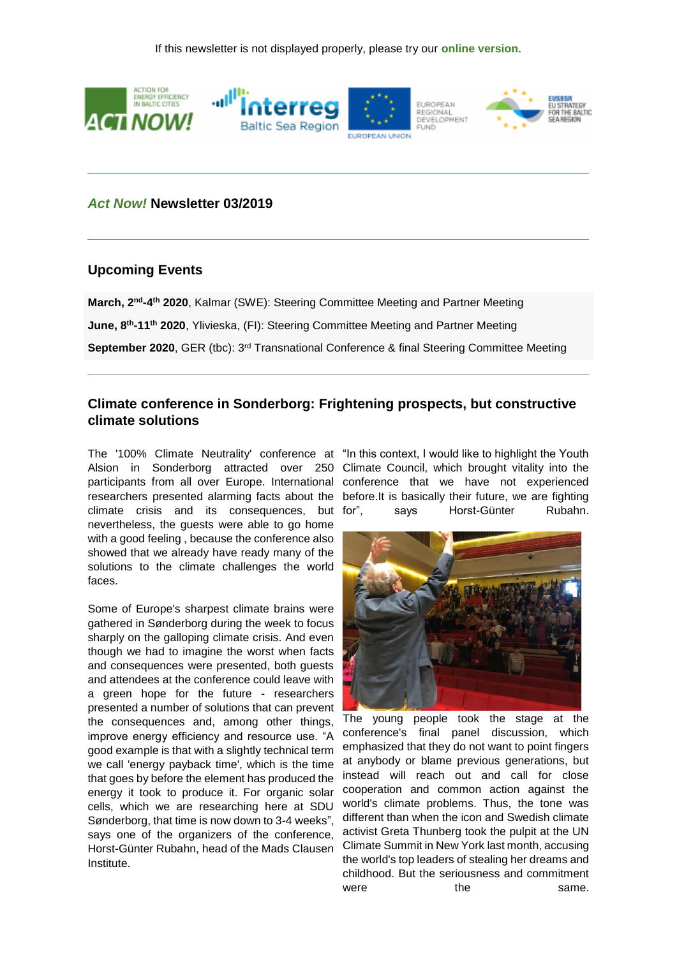

### *Act Now!* **Newsletter 03/2019**

### **Upcoming Events**

March, 2<sup>nd</sup>-4<sup>th</sup> 2020, Kalmar (SWE): Steering Committee Meeting and Partner Meeting **June, 8th -11th 2020**, Ylivieska, (FI): Steering Committee Meeting and Partner Meeting **September 2020**, GER (tbc): 3<sup>rd</sup> Transnational Conference & final Steering Committee Meeting

## **Climate conference in Sonderborg: Frightening prospects, but constructive climate solutions**

The '100% Climate Neutrality' conference at "In this context, I would like to highlight the Youth Alsion in Sonderborg attracted over 250 Climate Council, which brought vitality into the participants from all over Europe. International conference that we have not experienced researchers presented alarming facts about the before.It is basically their future, we are fighting climate crisis and its consequences, but nevertheless, the guests were able to go home with a good feeling , because the conference also showed that we already have ready many of the solutions to the climate challenges the world faces.

Some of Europe's sharpest climate brains were gathered in Sønderborg during the week to focus sharply on the galloping climate crisis. And even though we had to imagine the worst when facts and consequences were presented, both guests and attendees at the conference could leave with a green hope for the future - researchers presented a number of solutions that can prevent the consequences and, among other things, improve energy efficiency and resource use. "A good example is that with a slightly technical term we call 'energy payback time', which is the time that goes by before the element has produced the energy it took to produce it. For organic solar cells, which we are researching here at SDU Sønderborg, that time is now down to 3-4 weeks", says one of the organizers of the conference, Horst-Günter Rubahn, head of the Mads Clausen Institute.

says Horst-Günter Rubahn.



The young people took the stage at the conference's final panel discussion, which emphasized that they do not want to point fingers at anybody or blame previous generations, but instead will reach out and call for close cooperation and common action against the world's climate problems. Thus, the tone was different than when the icon and Swedish climate activist Greta Thunberg took the pulpit at the UN Climate Summit in New York last month, accusing the world's top leaders of stealing her dreams and childhood. But the seriousness and commitment were **the** same.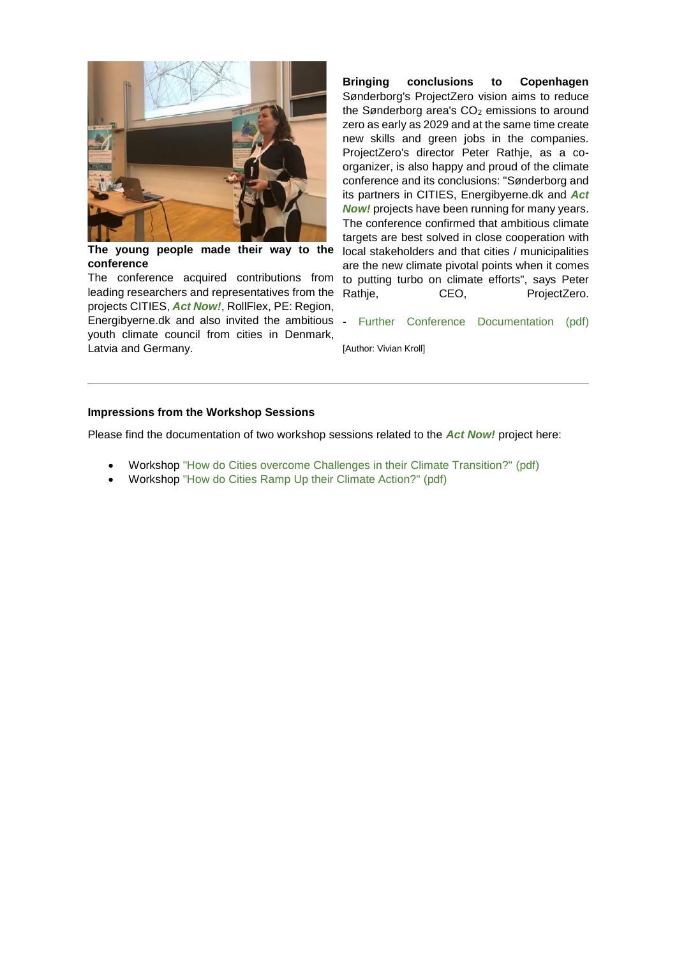

**The young people made their way to the conference**

The conference acquired contributions from leading researchers and representatives from the projects CITIES, *Act Now!*, RollFlex, PE: Region, Energibyerne.dk and also invited the ambitious - [Further Conference Documentation \(pdf\)](https://191838.seu.cleverreach.com/c/37270866/c81e728d2-q17jat) youth climate council from cities in Denmark, Latvia and Germany.

**Bringing conclusions to Copenhagen** Sønderborg's ProjectZero vision aims to reduce the Sønderborg area's  $CO<sub>2</sub>$  emissions to around zero as early as 2029 and at the same time create new skills and green jobs in the companies. ProjectZero's director Peter Rathje, as a coorganizer, is also happy and proud of the climate conference and its conclusions: "Sønderborg and its partners in CITIES, Energibyerne.dk and *Act Now!* projects have been running for many years. The conference confirmed that ambitious climate targets are best solved in close cooperation with local stakeholders and that cities / municipalities are the new climate pivotal points when it comes to putting turbo on climate efforts", says Peter Rathie, CEO, ProjectZero.

[Author: Vivian Kroll]

#### **Impressions from the Workshop Sessions**

Please find the documentation of two workshop sessions related to the *Act Now!* project here:

- Workshop ["How do Cities overcome Challenges in their Climate Transition?" \(pdf\)](https://191838.seu.cleverreach.com/c/37247076/c81e728d2-q17jat)
- Workshop ["How do Cities Ramp Up their Climate Action?" \(pdf\)](https://191838.seu.cleverreach.com/c/37247077/c81e728d2-q17jat)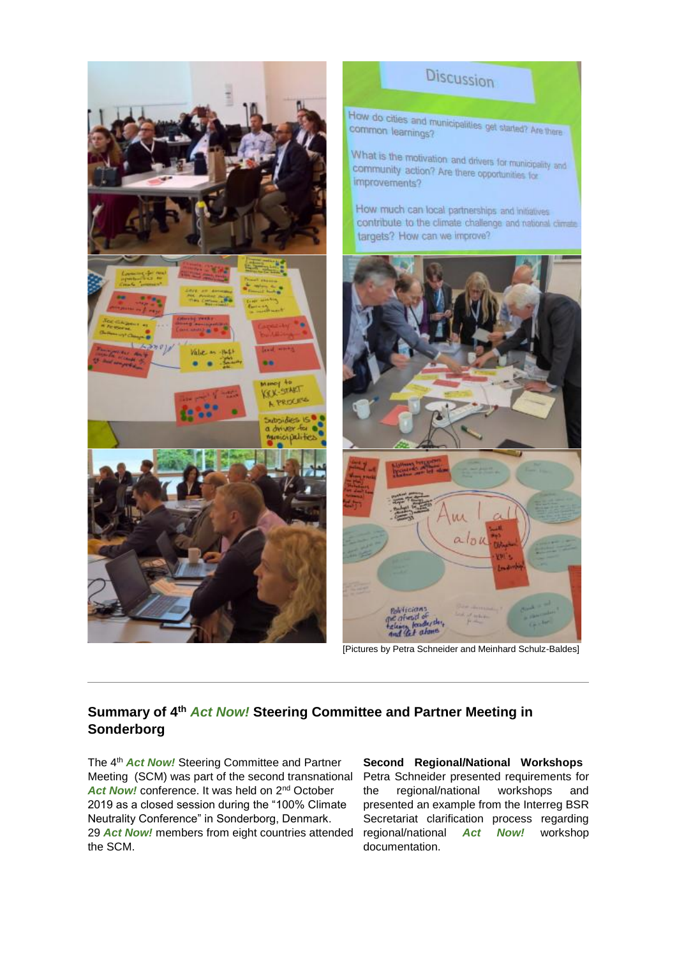

# **Summary of 4th** *Act Now!* **Steering Committee and Partner Meeting in Sonderborg**

The 4th *Act Now!* Steering Committee and Partner Meeting (SCM) was part of the second transnational Act Now! conference. It was held on 2<sup>nd</sup> October 2019 as a closed session during the "100% Climate Neutrality Conference" in Sonderborg, Denmark. 29 **Act Now!** members from eight countries attended regional/national Act Now! workshop the SCM.

**Second Regional/National Workshops** Petra Schneider presented requirements for the regional/national workshops and presented an example from the Interreg BSR Secretariat clarification process regarding documentation.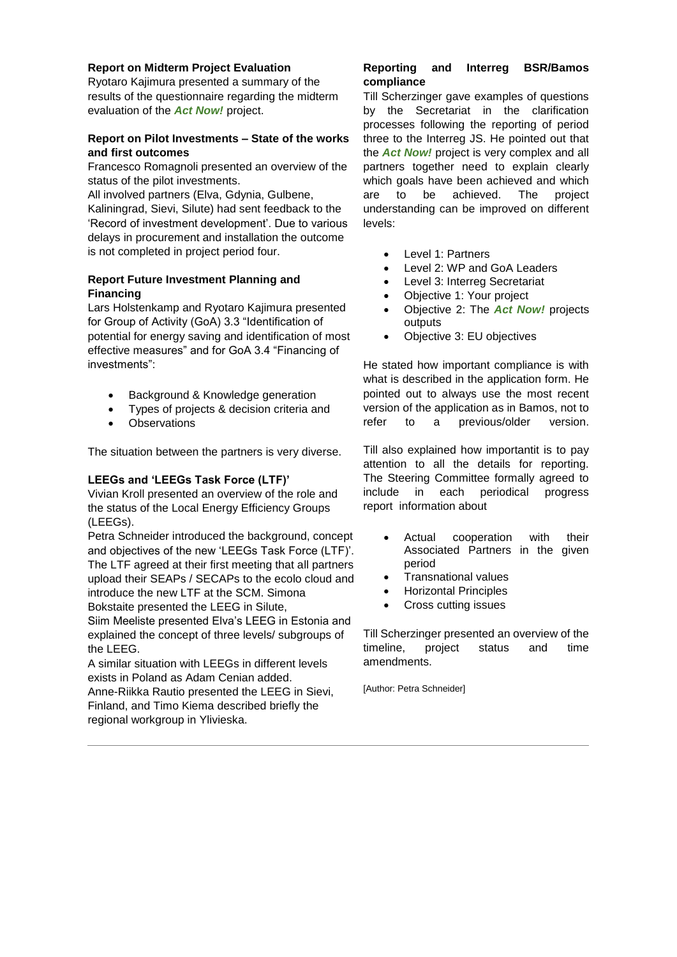#### **Report on Midterm Project Evaluation**

Ryotaro Kajimura presented a summary of the results of the questionnaire regarding the midterm evaluation of the *Act Now!* project.

#### **Report on Pilot Investments – State of the works and first outcomes**

Francesco Romagnoli presented an overview of the status of the pilot investments.

All involved partners (Elva, Gdynia, Gulbene, Kaliningrad, Sievi, Silute) had sent feedback to the 'Record of investment development'. Due to various delays in procurement and installation the outcome is not completed in project period four.

#### **Report Future Investment Planning and Financing**

Lars Holstenkamp and Ryotaro Kajimura presented for Group of Activity (GoA) 3.3 "Identification of potential for energy saving and identification of most effective measures" and for GoA 3.4 "Financing of investments":

- Background & Knowledge generation
- Types of projects & decision criteria and
- **Observations**

The situation between the partners is very diverse.

### **LEEGs and 'LEEGs Task Force (LTF)'**

Vivian Kroll presented an overview of the role and the status of the Local Energy Efficiency Groups (LEEGs).

Petra Schneider introduced the background, concept and objectives of the new 'LEEGs Task Force (LTF)'. The LTF agreed at their first meeting that all partners upload their SEAPs / SECAPs to the ecolo cloud and introduce the new LTF at the SCM. Simona Bokstaite presented the LEEG in Silute,

Siim Meeliste presented Elva's LEEG in Estonia and explained the concept of three levels/ subgroups of the LEEG.

A similar situation with LEEGs in different levels exists in Poland as Adam Cenian added.

Anne-Riikka Rautio presented the LEEG in Sievi, Finland, and Timo Kiema described briefly the regional workgroup in Ylivieska.

#### **Reporting and Interreg BSR/Bamos compliance**

Till Scherzinger gave examples of questions by the Secretariat in the clarification processes following the reporting of period three to the Interreg JS. He pointed out that the *Act Now!* project is very complex and all partners together need to explain clearly which goals have been achieved and which are to be achieved. The project understanding can be improved on different levels:

- Level 1: Partners
- Level 2: WP and GoA Leaders
- Level 3: Interreg Secretariat
- Objective 1: Your project
- Objective 2: The *Act Now!* projects outputs
- Objective 3: EU objectives

He stated how important compliance is with what is described in the application form. He pointed out to always use the most recent version of the application as in Bamos, not to refer to a previous/older version.

Till also explained how importantit is to pay attention to all the details for reporting. The Steering Committee formally agreed to include in each periodical progress report information about

- Actual cooperation with their Associated Partners in the given period
- Transnational values
- Horizontal Principles
- Cross cutting issues

Till Scherzinger presented an overview of the timeline, project status and time amendments.

[Author: Petra Schneider]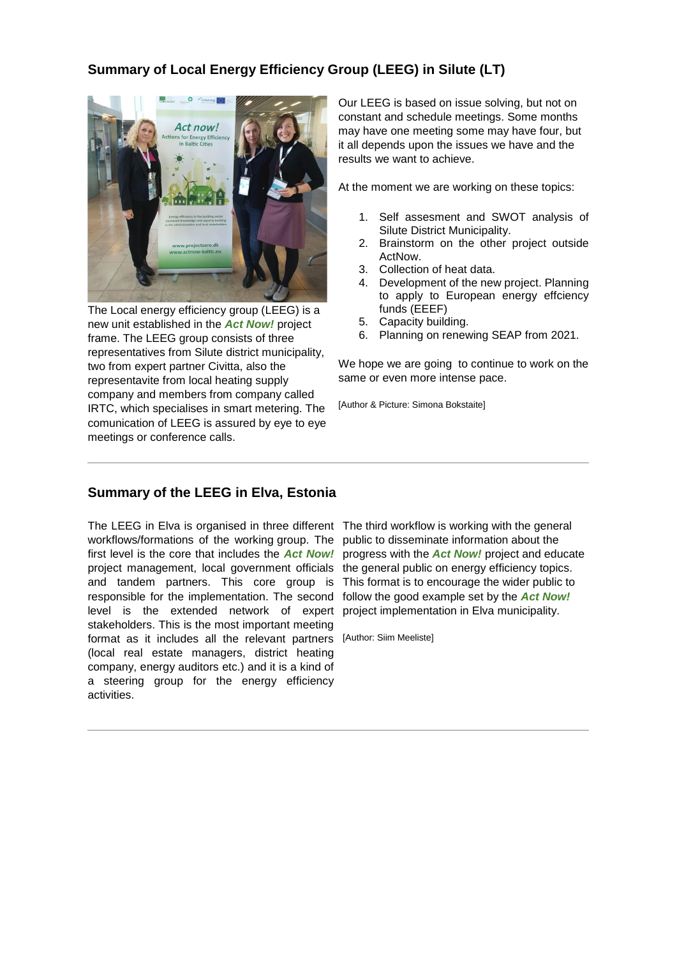# **Summary of Local Energy Efficiency Group (LEEG) in Silute (LT)**



The Local energy efficiency group (LEEG) is a new unit established in the *Act Now!* project frame. The LEEG group consists of three representatives from Silute district municipality, two from expert partner Civitta, also the representavite from local heating supply company and members from company called IRTC, which specialises in smart metering. The comunication of LEEG is assured by eye to eye meetings or conference calls.

Our LEEG is based on issue solving, but not on constant and schedule meetings. Some months may have one meeting some may have four, but it all depends upon the issues we have and the results we want to achieve.

At the moment we are working on these topics:

- 1. Self assesment and SWOT analysis of Silute District Municipality.
- 2. Brainstorm on the other project outside ActNow.
- 3. Collection of heat data.
- 4. Development of the new project. Planning to apply to European energy effciency funds (EEEF)
- 5. Capacity building.
- 6. Planning on renewing SEAP from 2021.

We hope we are going to continue to work on the same or even more intense pace.

[Author & Picture: Simona Bokstaite]

### **Summary of the LEEG in Elva, Estonia**

The LEEG in Elva is organised in three different The third workflow is working with the general workflows/formations of the working group. The public to disseminate information about the first level is the core that includes the *Act Now!* project management, local government officials and tandem partners. This core group is responsible for the implementation. The second level is the extended network of expert stakeholders. This is the most important meeting format as it includes all the relevant partners [Author: Siim Meeliste](local real estate managers, district heating company, energy auditors etc.) and it is a kind of a steering group for the energy efficiency activities.

progress with the *Act Now!* project and educate the general public on energy efficiency topics. This format is to encourage the wider public to follow the good example set by the *Act Now!* project implementation in Elva municipality.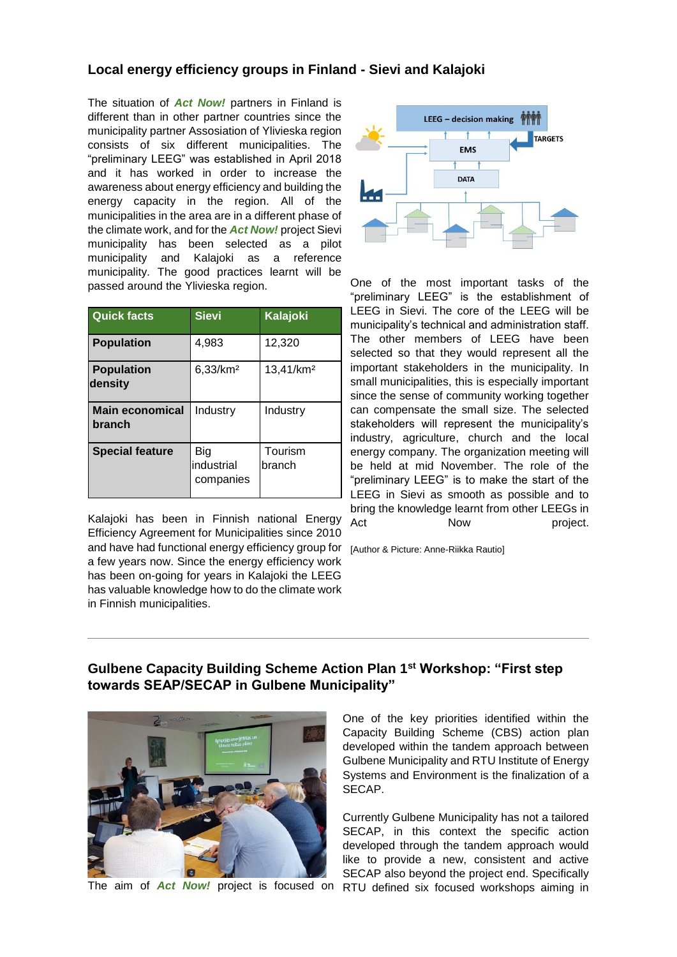## **Local energy efficiency groups in Finland - Sievi and Kalajoki**

The situation of *Act Now!* partners in Finland is different than in other partner countries since the municipality partner Assosiation of Ylivieska region consists of six different municipalities. The "preliminary LEEG" was established in April 2018 and it has worked in order to increase the awareness about energy efficiency and building the energy capacity in the region. All of the municipalities in the area are in a different phase of the climate work, and for the *Act Now!* project Sievi municipality has been selected as a pilot municipality and Kalajoki as a reference municipality. The good practices learnt will be passed around the Ylivieska region.

| <b>Quick facts</b>               | <b>Sievi</b>                   | <b>Kalajoki</b>       |
|----------------------------------|--------------------------------|-----------------------|
| <b>Population</b>                | 4,983                          | 12,320                |
| <b>Population</b><br>density     | 6,33/km <sup>2</sup>           | 13,41/km <sup>2</sup> |
| <b>Main economical</b><br>branch | Industry                       | Industry              |
| <b>Special feature</b>           | Big<br>industrial<br>companies | Tourism<br>branch     |

Kalajoki has been in Finnish national Energy Efficiency Agreement for Municipalities since 2010 and have had functional energy efficiency group for [Author & Picture: Anne-Riikka Rautio] a few years now. Since the energy efficiency work has been on-going for years in Kalajoki the LEEG has valuable knowledge how to do the climate work in Finnish municipalities.



One of the most important tasks of the "preliminary LEEG" is the establishment of LEEG in Sievi. The core of the LEEG will be municipality's technical and administration staff. The other members of LEEG have been selected so that they would represent all the important stakeholders in the municipality. In small municipalities, this is especially important since the sense of community working together can compensate the small size. The selected stakeholders will represent the municipality's industry, agriculture, church and the local energy company. The organization meeting will be held at mid November. The role of the "preliminary LEEG" is to make the start of the LEEG in Sievi as smooth as possible and to bring the knowledge learnt from other LEEGs in Act Now project.

# **Gulbene Capacity Building Scheme Action Plan 1st Workshop: "First step towards SEAP/SECAP in Gulbene Municipality"**



One of the key priorities identified within the Capacity Building Scheme (CBS) action plan developed within the tandem approach between Gulbene Municipality and RTU Institute of Energy Systems and Environment is the finalization of a SECAP.

The aim of *Act Now!* project is focused on RTU defined six focused workshops aiming in Currently Gulbene Municipality has not a tailored SECAP, in this context the specific action developed through the tandem approach would like to provide a new, consistent and active SECAP also beyond the project end. Specifically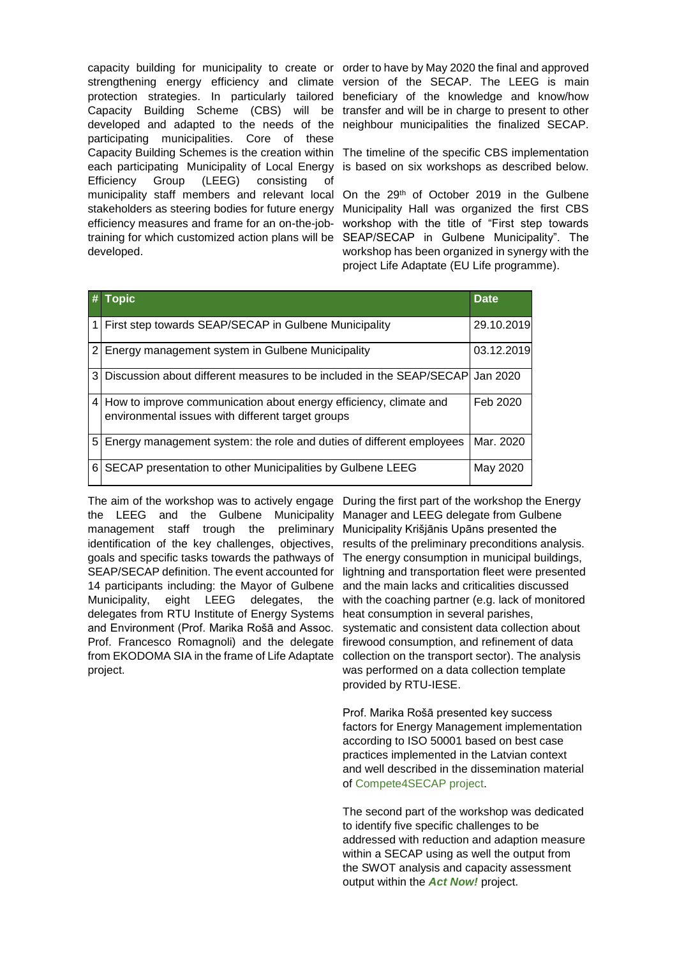capacity building for municipality to create or order to have by May 2020 the final and approved strengthening energy efficiency and climate version of the SECAP. The LEEG is main protection strategies. In particularly tailored beneficiary of the knowledge and know/how Capacity Building Scheme (CBS) will be developed and adapted to the needs of the participating municipalities. Core of these Capacity Building Schemes is the creation within The timeline of the specific CBS implementation each participating Municipality of Local Energy Efficiency Group (LEEG) consisting of municipality staff members and relevant local On the 29<sup>th</sup> of October 2019 in the Gulbene stakeholders as steering bodies for future energy efficiency measures and frame for an on-the-jobtraining for which customized action plans will be SEAP/SECAP in Gulbene Municipality". The developed.

transfer and will be in charge to present to other neighbour municipalities the finalized SECAP.

is based on six workshops as described below.

Municipality Hall was organized the first CBS workshop with the title of "First step towards workshop has been organized in synergy with the project Life Adaptate (EU Life programme).

|                | <b>Topic</b>                                                                                                             | <b>Date</b> |
|----------------|--------------------------------------------------------------------------------------------------------------------------|-------------|
|                | First step towards SEAP/SECAP in Gulbene Municipality                                                                    | 29.10.2019  |
| $\overline{2}$ | Energy management system in Gulbene Municipality                                                                         | 03.12.2019  |
| 3              | Discussion about different measures to be included in the SEAP/SECAP  Jan 2020                                           |             |
|                | 4 How to improve communication about energy efficiency, climate and<br>environmental issues with different target groups | Feb 2020    |
| 5 <sup>1</sup> | Energy management system: the role and duties of different employees                                                     | Mar. 2020   |
| 6              | SECAP presentation to other Municipalities by Gulbene LEEG                                                               | May 2020    |

The aim of the workshop was to actively engage During the first part of the workshop the Energy the LEEG and the Gulbene management staff trough the preliminary identification of the key challenges, objectives, goals and specific tasks towards the pathways of SEAP/SECAP definition. The event accounted for 14 participants including: the Mayor of Gulbene Municipality, eight LEEG delegates, the delegates from RTU Institute of Energy Systems and Environment (Prof. Marika Rošā and Assoc. Prof. Francesco Romagnoli) and the delegate from EKODOMA SIA in the frame of Life Adaptate project.

Municipality Manager and LEEG delegate from Gulbene Municipality Krišjānis Upāns presented the results of the preliminary preconditions analysis. The energy consumption in municipal buildings, lightning and transportation fleet were presented and the main lacks and criticalities discussed with the coaching partner (e.g. lack of monitored heat consumption in several parishes, systematic and consistent data collection about firewood consumption, and refinement of data collection on the transport sector). The analysis was performed on a data collection template provided by RTU-IESE.

> Prof. Marika Rošā presented key success factors for Energy Management implementation according to ISO 50001 based on best case practices implemented in the Latvian context and well described in the dissemination material of [Compete4SECAP project.](https://191838.seu.cleverreach.com/c/37246923/c81e728d2-q17jat)

> The second part of the workshop was dedicated to identify five specific challenges to be addressed with reduction and adaption measure within a SECAP using as well the output from the SWOT analysis and capacity assessment output within the *Act Now!* project.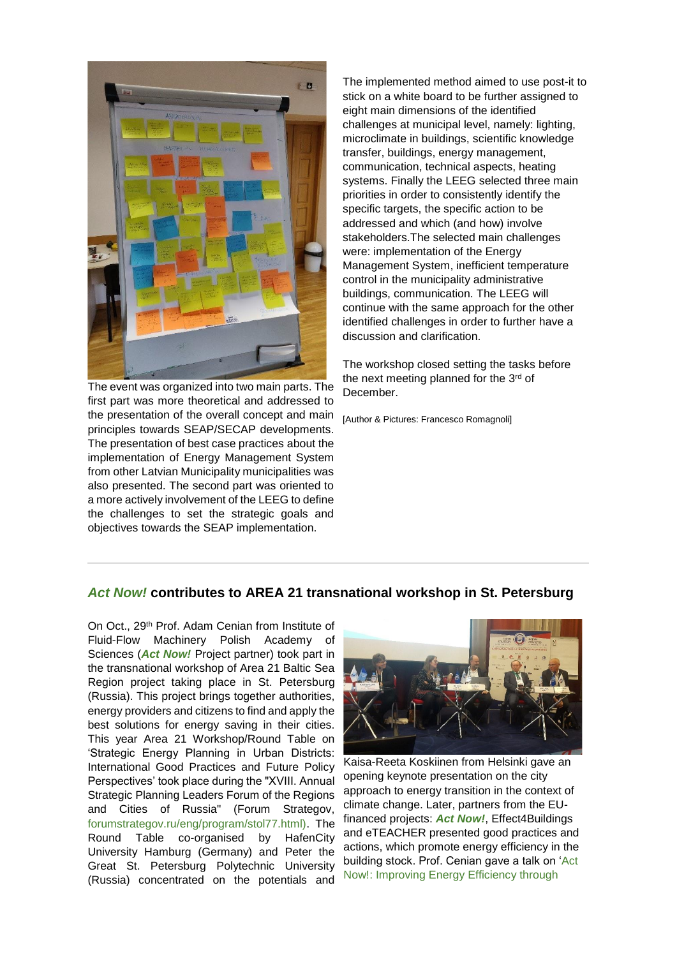

The event was organized into two main parts. The first part was more theoretical and addressed to the presentation of the overall concept and main principles towards SEAP/SECAP developments. The presentation of best case practices about the implementation of Energy Management System from other Latvian Municipality municipalities was also presented. The second part was oriented to a more actively involvement of the LEEG to define the challenges to set the strategic goals and objectives towards the SEAP implementation.

The implemented method aimed to use post-it to stick on a white board to be further assigned to eight main dimensions of the identified challenges at municipal level, namely: lighting, microclimate in buildings, scientific knowledge transfer, buildings, energy management, communication, technical aspects, heating systems. Finally the LEEG selected three main priorities in order to consistently identify the specific targets, the specific action to be addressed and which (and how) involve stakeholders.The selected main challenges were: implementation of the Energy Management System, inefficient temperature control in the municipality administrative buildings, communication. The LEEG will continue with the same approach for the other identified challenges in order to further have a discussion and clarification.

The workshop closed setting the tasks before the next meeting planned for the 3<sup>rd</sup> of December.

[Author & Pictures: Francesco Romagnoli]

### *Act Now!* **contributes to AREA 21 transnational workshop in St. Petersburg**

On Oct., 29th Prof. Adam Cenian from Institute of Fluid-Flow Machinery Polish Academy of Sciences (*Act Now!* Project partner) took part in the transnational workshop of Area 21 Baltic Sea Region project taking place in St. Petersburg (Russia). This project brings together authorities, energy providers and citizens to find and apply the best solutions for energy saving in their cities. This year Area 21 Workshop/Round Table on 'Strategic Energy Planning in Urban Districts: International Good Practices and Future Policy Perspectives' took place during the "XVIII. Annual Strategic Planning Leaders Forum of the Regions and Cities of Russia" (Forum Strategov, [forumstrategov.ru/eng/program/stol77.html\).](https://191838.seu.cleverreach.com/c/37246924/c81e728d2-q17jat) The Round Table co-organised by HafenCity University Hamburg (Germany) and Peter the Great St. Petersburg Polytechnic University (Russia) concentrated on the potentials and



Kaisa-Reeta Koskiinen from Helsinki gave an opening keynote presentation on the city approach to energy transition in the context of climate change. Later, partners from the EUfinanced projects: *Act Now!*, Effect4Buildings and eTEACHER presented good practices and actions, which promote energy efficiency in the building stock. Prof. Cenian gave a talk on ['Act](https://191838.seu.cleverreach.com/c/37246925/c81e728d2-q17jat)  [Now!: Improving Energy Efficiency through](https://191838.seu.cleverreach.com/c/37246925/c81e728d2-q17jat)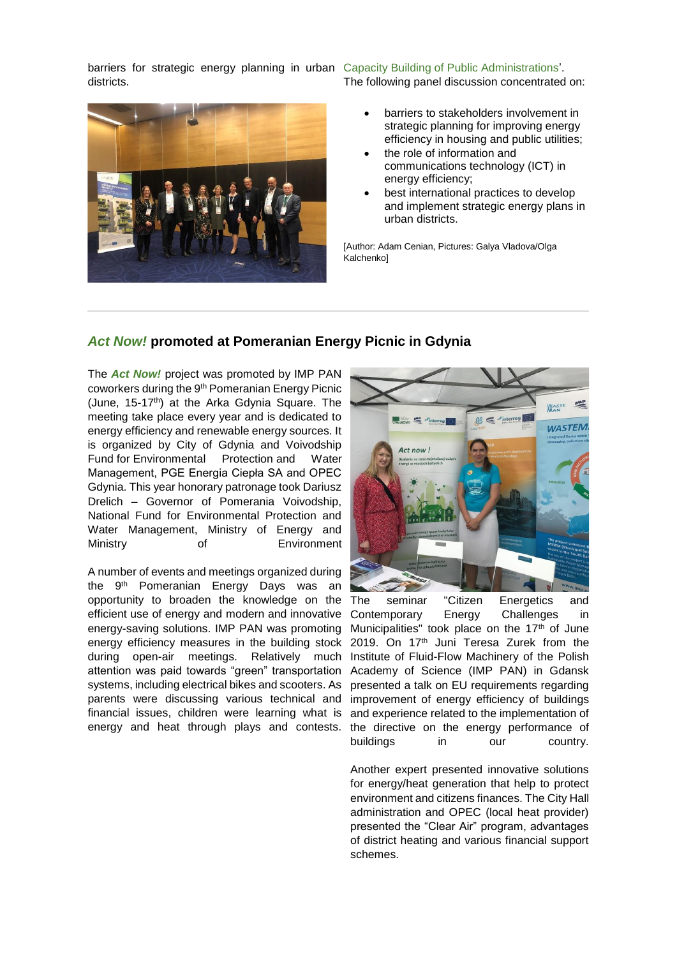barriers for strategic energy planning in urban [Capacity Building of Public Administrations'.](https://191838.seu.cleverreach.com/c/37246925/c81e728d2-q17jat) districts. The following panel discussion concentrated on:



• barriers to stakeholders involvement in strategic planning for improving energy efficiency in housing and public utilities;

- the role of information and communications technology (ICT) in energy efficiency;
- best international practices to develop and implement strategic energy plans in urban districts.

[Author: Adam Cenian, Pictures: Galya Vladova/Olga **Kalchenkol** 

## *Act Now!* **promoted at Pomeranian Energy Picnic in Gdynia**

The *Act Now!* project was promoted by IMP PAN coworkers during the 9th Pomeranian Energy Picnic (June, 15-17<sup>th</sup>) at the Arka Gdynia Square. The meeting take place every year and is dedicated to energy efficiency and renewable energy sources. It is organized by City of Gdynia and Voivodship Fund for Environmental Protection and Water Management, PGE Energia Ciepła SA and OPEC Gdynia. This year honorary patronage took Dariusz Drelich – Governor of Pomerania Voivodship, National Fund for Environmental Protection and Water Management, Ministry of Energy and Ministry of Environment

A number of events and meetings organized during the 9<sup>th</sup> Pomeranian Energy Days was an opportunity to broaden the knowledge on the efficient use of energy and modern and innovative energy-saving solutions. IMP PAN was promoting energy efficiency measures in the building stock during open-air meetings. Relatively much attention was paid towards "green" transportation systems, including electrical bikes and scooters. As parents were discussing various technical and financial issues, children were learning what is energy and heat through plays and contests.



seminar "Citizen Energetics and Contemporary Energy Challenges in Municipalities" took place on the  $17<sup>th</sup>$  of June 2019. On 17<sup>th</sup> Juni Teresa Zurek from the Institute of Fluid-Flow Machinery of the Polish Academy of Science (IMP PAN) in Gdansk presented a talk on EU requirements regarding improvement of energy efficiency of buildings and experience related to the implementation of the directive on the energy performance of buildings in our country.

Another expert presented innovative solutions for energy/heat generation that help to protect environment and citizens finances. The City Hall administration and OPEC (local heat provider) presented the "Clear Air" program, advantages of district heating and various financial support schemes.